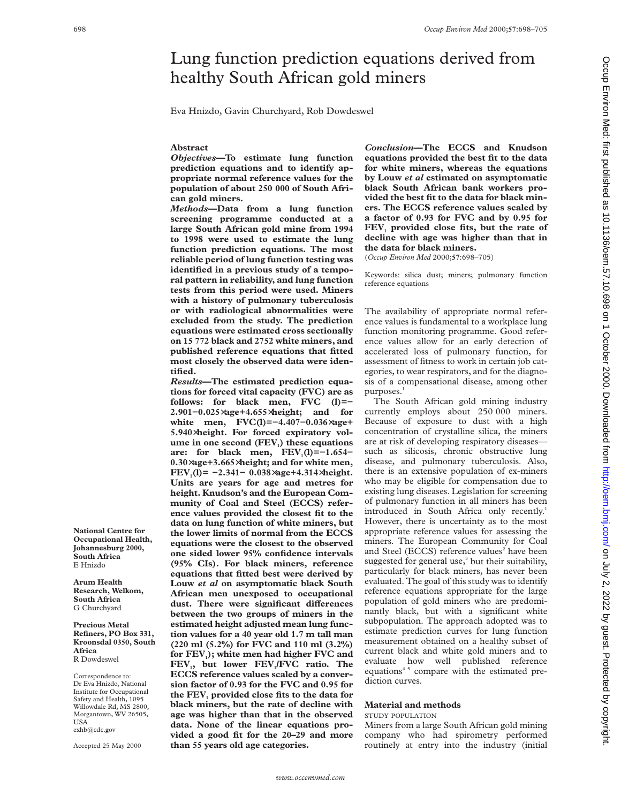# Lung function prediction equations derived from healthy South African gold miners

Eva Hnizdo, Gavin Churchyard, Rob Dowdeswel

#### **Abstract**

*Objectives***—To estimate lung function prediction equations and to identify appropriate normal reference values for the population of about 250 000 of South African gold miners.**

*Methods***—Data from a lung function screening programme conducted at a large South African gold mine from 1994 to 1998 were used to estimate the lung function prediction equations. The most reliable period of lung function testing was identified in a previous study of a temporal pattern in reliability, and lung function tests from this period were used. Miners with a history of pulmonary tuberculosis or with radiological abnormalities were excluded from the study. The prediction equations were estimated cross sectionally on 15 772 black and 2752 white miners, and published reference equations that fitted most closely the observed data were identified.**

*Results***—The estimated prediction equations for forced vital capacity (FVC) are as follows: for black men, FVC (l)=− 2.901−0.025**×**age+4.655**×**height; and for white men, FVC(l)=−4.407−0.036**×**age+ 5.940**×**height. For forced expiratory vol**ume in one second (FEV<sub>1</sub>) these equations are: for black men, FEV<sub>1</sub>(l)=−1.654− **0.30**×**age+3.665**×**height; and for white men, FEV1(l)= −2.341− 0.038**×**age+4.314**×**height. Units are years for age and metres for height. Knudson's and the European Community of Coal and Steel (ECCS) reference values provided the closest fit to the data on lung function of white miners, but the lower limits of normal from the ECCS equations were the closest to the observed one sided lower 95% confidence intervals (95% CIs). For black miners, reference equations that fitted best were derived by Louw** *et al* **on asymptomatic black South African men unexposed to occupational** dust. There were significant differences **between the two groups of miners in the estimated height adjusted mean lung function values for a 40 year old 1.7 m tall man (220 ml (5.2%) for FVC and 110 ml (3.2%)** for FEV<sub>1</sub>); white men had higher FVC and FEV<sub>1</sub>, but lower FEV<sub>1</sub>/FVC ratio. The **ECCS reference values scaled by a conversion factor of 0.93 for the FVC and 0.95 for** the FEV<sub>1</sub> provided close fits to the data for **black miners, but the rate of decline with age was higher than that in the observed data. None of the linear equations provided a good fit for the 20–29 and more than 55 years old age categories.**

*Conclusion***—The ECCS and Knudson equations provided the best fit to the data for white miners, whereas the equations by Louw** *et al* **estimated on asymptomatic black South African bank workers provided the best fit to the data for black miners. The ECCS reference values scaled by a factor of 0.93 for FVC and by 0.95 for** FEV<sub>1</sub> provided close fits, but the rate of **decline with age was higher than that in the data for black miners.**

(*Occup Environ Med* 2000;**57**:698–705)

Keywords: silica dust; miners; pulmonary function reference equations

The availability of appropriate normal reference values is fundamental to a workplace lung function monitoring programme. Good reference values allow for an early detection of accelerated loss of pulmonary function, for assessment of fitness to work in certain job categories, to wear respirators, and for the diagnosis of a compensational disease, among other purposes.<sup>1</sup>

The South African gold mining industry currently employs about 250 000 miners. Because of exposure to dust with a high concentration of crystalline silica, the miners are at risk of developing respiratory diseases such as silicosis, chronic obstructive lung disease, and pulmonary tuberculosis. Also, there is an extensive population of ex-miners who may be eligible for compensation due to existing lung diseases. Legislation for screening of pulmonary function in all miners has been introduced in South Africa only recently.<sup>1</sup> However, there is uncertainty as to the most appropriate reference values for assessing the miners. The European Community for Coal and Steel (ECCS) reference values<sup>2</sup> have been suggested for general use, $3$  but their suitability, particularly for black miners, has never been evaluated. The goal of this study was to identify reference equations appropriate for the large population of gold miners who are predominantly black, but with a significant white subpopulation. The approach adopted was to estimate prediction curves for lung function measurement obtained on a healthy subset of current black and white gold miners and to evaluate how well published reference equations<sup>45</sup> compare with the estimated prediction curves.

### **Material and methods**

## STUDY POPULATION

Miners from a large South African gold mining company who had spirometry performed routinely at entry into the industry (initial Occup Environ Med: first published as 10.1136/oem.57.10.698 on 1 October 2000. Downloaded from http://oem.bmj.com/ on July 2, 2022 by guest. Protected by copyright Occup Frotected by Guest. Protected by 2, 2022 by Guest. Protect from OC Download from DOOC. Doownloadd from the 2000. Download as 10.113.2020. Download as 10.113.2020. Download as 10.113.2.2020. Downloadd by 2, 2020. Down

**National Centre for Occupational Health, Johannesburg 2000, South Africa**

E Hnizdo

**Arum Health Research, Welkom, South Africa** G Churchyard

**Precious Metal Refiners, PO Box 331, Kroonsdal 0350, South Africa** R Dowdeswel

Correspondence to: Dr Eva Hnizdo, National Institute for Occupational Safety and Health, 1095 Willowdale Rd, MS 2800, Morgantown, WV 26505, USA exhb@cdc.gov

Accepted 25 May 2000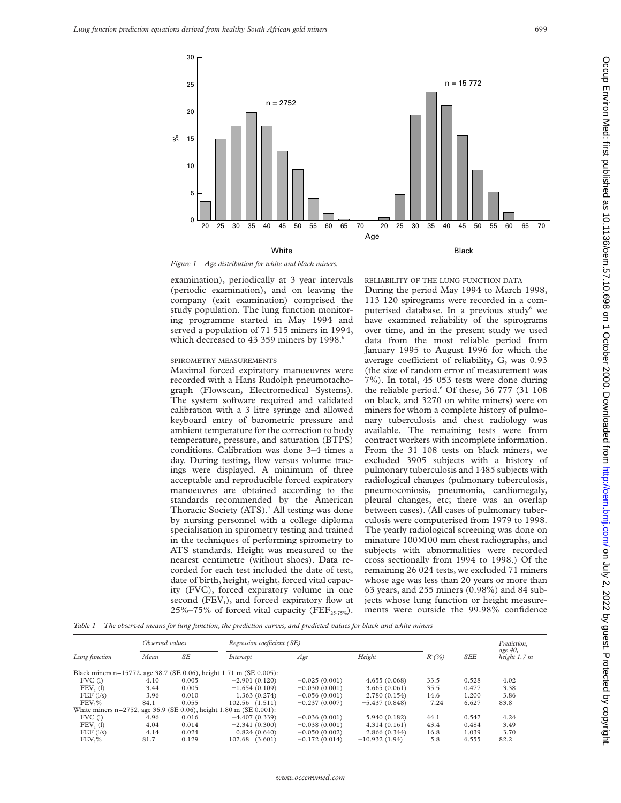30

25

20

15

 $\%$ 

10

5

0



*Table 1 The observed means for lung function, the prediction curves, and predicted values for black and white miners*

examination), periodically at 3 year intervals (periodic examination), and on leaving the company (exit examination) comprised the study population. The lung function monitoring programme started in May 1994 and served a population of 71 515 miners in 1994, which decreased to 43 359 miners by 1998.<sup>6</sup>

20 25 30 35 40 45 50 55

 $n = 2752$ 

65 70

Age

*Figure 1 Age distribution for white and black miners.*

Maximal forced expiratory manoeuvres were recorded with a Hans Rudolph pneumotachograph (Flowscan, Electromedical Systems). The system software required and validated calibration with a 3 litre syringe and allowed keyboard entry of barometric pressure and ambient temperature for the correction to body temperature, pressure, and saturation (BTPS) conditions. Calibration was done 3–4 times a day. During testing, flow versus volume tracings were displayed. A minimum of three acceptable and reproducible forced expiratory manoeuvres are obtained according to the standards recommended by the American Thoracic Society (ATS).<sup>7</sup> All testing was done by nursing personnel with a college diploma specialisation in spirometry testing and trained in the techniques of performing spirometry to ATS standards. Height was measured to the nearest centimetre (without shoes). Data recorded for each test included the date of test, date of birth, height, weight, forced vital capacity (FVC), forced expiratory volume in one second  $(FEV<sub>1</sub>)$ , and forced expiratory flow at 25%–75% of forced vital capacity (FEF<sub>25-75%</sub>).

SPIROMETRY MEASUREMENTS

|               | Observed values |       |                                                                     | Regression coefficient (SE) |                 |            |       | Prediction,              |
|---------------|-----------------|-------|---------------------------------------------------------------------|-----------------------------|-----------------|------------|-------|--------------------------|
| Lung function | Mean            | SE    | Intercept                                                           | Age                         | Height          | $R^2(\% )$ | SEE   | age 40,<br>height $1.7m$ |
|               |                 |       | Black miners n=15772, age 38.7 (SE 0.06), height 1.71 m (SE 0.005): |                             |                 |            |       |                          |
| FVC(1)        | 4.10            | 0.005 | $-2.901(0.120)$                                                     | $-0.025(0.001)$             | 4.655(0.068)    | 33.5       | 0.528 | 4.02                     |
| $FEV$ , $(l)$ | 3.44            | 0.005 | $-1.654(0.109)$                                                     | $-0.030(0.001)$             | 3.665(0.061)    | 35.5       | 0.477 | 3.38                     |
| FEF(1/s)      | 3.96            | 0.010 | 1.363(0.274)                                                        | $-0.056(0.001)$             | 2.780(0.154)    | 14.6       | 1.200 | 3.86                     |
| FEV.%         | 84.1            | 0.055 | $102.56$ $(1.511)$                                                  | $-0.237(0.007)$             | $-5.437(0.848)$ | 7.24       | 6.627 | 83.8                     |
|               |                 |       | White miners n=2752, age 36.9 (SE 0.06), height 1.80 m (SE 0.001):  |                             |                 |            |       |                          |
| FVC(1)        | 4.96            | 0.016 | $-4.407(0.339)$                                                     | $-0.036(0.001)$             | 5.940(0.182)    | 44.1       | 0.547 | 4.24                     |
| $FEV_1(1)$    | 4.04            | 0.014 | $-2.341(0.300)$                                                     | $-0.038(0.001)$             | 4.314(0.161)    | 43.4       | 0.484 | 3.49                     |
| FEF(1/s)      | 4.14            | 0.024 | 0.824(0.640)                                                        | $-0.050(0.002)$             | 2.866 (0.344)   | 16.8       | 1.039 | 3.70                     |
| $FEV, \%$     | 81.7            | 0.129 | (3.601)<br>107.68                                                   | $-0.172(0.014)$             | $-10.932(1.94)$ | 5.8        | 6.555 | 82.2                     |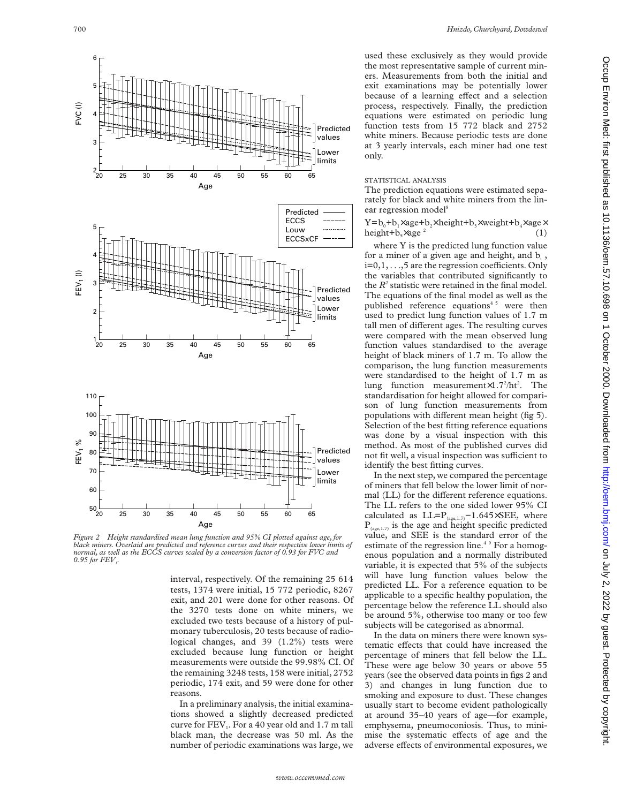

*Figure 2 Height standardised mean lung function and 95% CI plotted against age, for black miners. Overlaid are predicted and reference curves and their respective lower limits of normal, as well as the ECCS curves scaled by a conversion factor of 0.93 for FVC and*  $0.95$  for  $FEV$ .

interval, respectively. Of the remaining 25 614 tests, 1374 were initial, 15 772 periodic, 8267 exit, and 201 were done for other reasons. Of the 3270 tests done on white miners, we excluded two tests because of a history of pulmonary tuberculosis, 20 tests because of radiological changes, and 39 (1.2%) tests were excluded because lung function or height measurements were outside the 99.98% CI. Of the remaining 3248 tests, 158 were initial, 2752 periodic, 174 exit, and 59 were done for other reasons.

In a preliminary analysis, the initial examinations showed a slightly decreased predicted curve for  $FEV<sub>1</sub>$ . For a 40 year old and 1.7 m tall black man, the decrease was 50 ml. As the number of periodic examinations was large, we used these exclusively as they would provide the most representative sample of current miners. Measurements from both the initial and exit examinations may be potentially lower because of a learning effect and a selection process, respectively. Finally, the prediction equations were estimated on periodic lung function tests from 15 772 black and 2752 white miners. Because periodic tests are done at 3 yearly intervals, each miner had one test only.

## STATISTICAL ANALYSIS

The prediction equations were estimated separately for black and white miners from the linear regression model<sup>8</sup>

 $Y=b_0+b_1\times age+b_2\times height+b_3\times weight+b_4\times age\times$ height+b<sub>5</sub> $\times$ age<sup>2</sup> (1)

where Y is the predicted lung function value for a miner of a given age and height, and  $b_i$ ,  $i=0,1,\ldots,5$  are the regression coefficients. Only the variables that contributed significantly to the  $R^2$  statistic were retained in the final model. The equations of the final model as well as the published reference equations<sup>45</sup> were then used to predict lung function values of 1.7 m tall men of different ages. The resulting curves were compared with the mean observed lung function values standardised to the average height of black miners of 1.7 m. To allow the comparison, the lung function measurements were standardised to the height of 1.7 m as lung function measurement $\times$ 1.7<sup>2</sup>/ht<sup>2</sup>. The standardisation for height allowed for comparison of lung function measurements from populations with different mean height (fig 5). Selection of the best fitting reference equations was done by a visual inspection with this method. As most of the published curves did not fit well, a visual inspection was sufficient to identify the best fitting curves.

In the next step, we compared the percentage of miners that fell below the lower limit of normal (LL) for the different reference equations. The LL refers to the one sided lower 95% CI calculated as  $LL= P_{(age,1.7)} - 1.645 \times SEE$ , where  $P_{(aee,1,7)}$  is the age and height specific predicted value, and SEE is the standard error of the estimate of the regression line.<sup>4</sup> <sup>9</sup> For a homogenous population and a normally distributed variable, it is expected that 5% of the subjects will have lung function values below the predicted LL. For a reference equation to be applicable to a specific healthy population, the percentage below the reference LL should also be around 5%, otherwise too many or too few subjects will be categorised as abnormal.

In the data on miners there were known systematic effects that could have increased the percentage of miners that fell below the LL. These were age below 30 years or above 55 years (see the observed data points in figs 2 and 3) and changes in lung function due to smoking and exposure to dust. These changes usually start to become evident pathologically at around 35–40 years of age—for example, emphysema, pneumoconiosis. Thus, to minimise the systematic effects of age and the adverse effects of environmental exposures, we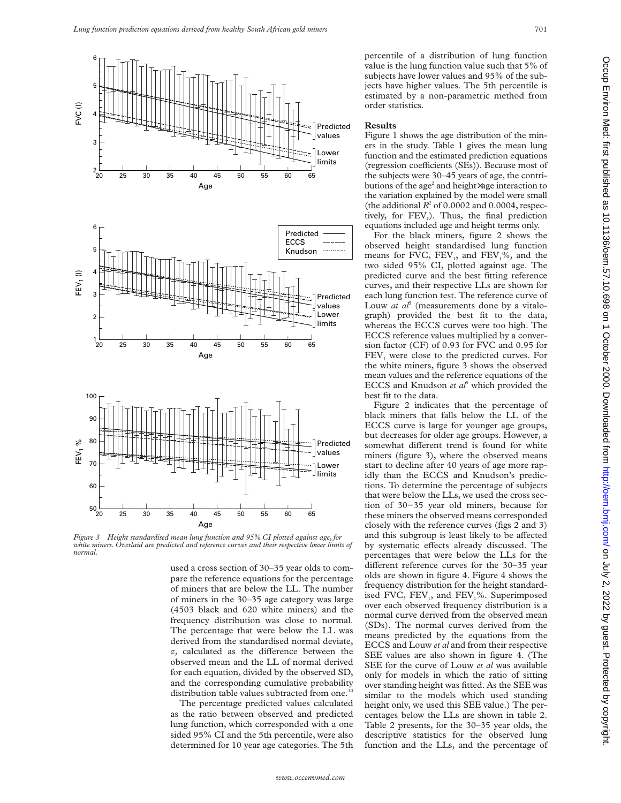





*Figure 3 Height standardised mean lung function and 95% CI plotted against age, for white miners. Overlaid are predicted and reference curves and their respective lower limits of normal.*

used a cross section of 30–35 year olds to compare the reference equations for the percentage of miners that are below the LL. The number of miners in the 30–35 age category was large (4503 black and 620 white miners) and the frequency distribution was close to normal. The percentage that were below the LL was derived from the standardised normal deviate, *z*, calculated as the difference between the observed mean and the LL of normal derived for each equation, divided by the observed SD, and the corresponding cumulative probability distribution table values subtracted from one.<sup>10</sup>

The percentage predicted values calculated as the ratio between observed and predicted lung function, which corresponded with a one sided 95% CI and the 5th percentile, were also determined for 10 year age categories. The 5th percentile of a distribution of lung function value is the lung function value such that 5% of subjects have lower values and 95% of the subjects have higher values. The 5th percentile is estimated by a non-parametric method from order statistics.

### **Results**

Figure 1 shows the age distribution of the miners in the study. Table 1 gives the mean lung function and the estimated prediction equations (regression coefficients (SEs)). Because most of the subjects were 30–45 years of age, the contributions of the age<sup>2</sup> and height×age interaction to the variation explained by the model were small (the additional  $R^2$  of 0.0002 and 0.0004, respectively, for  $FEV<sub>1</sub>$ ). Thus, the final prediction equations included age and height terms only.

For the black miners, figure 2 shows the observed height standardised lung function means for FVC, FEV<sub>1</sub>, and FEV<sub>1</sub>%, and the two sided 95% CI, plotted against age. The predicted curve and the best fitting reference curves, and their respective LLs are shown for each lung function test. The reference curve of Louw  $at$   $a<sup>f</sup>$  (measurements done by a vitalograph) provided the best fit to the data, whereas the ECCS curves were too high. The ECCS reference values multiplied by a conversion factor (CF) of 0.93 for FVC and 0.95 for FEV<sub>1</sub> were close to the predicted curves. For the white miners, figure 3 shows the observed mean values and the reference equations of the ECCS and Knudson *et al*<sup>9</sup> which provided the best fit to the data.

Figure 2 indicates that the percentage of black miners that falls below the LL of the ECCS curve is large for younger age groups, but decreases for older age groups. However, a somewhat different trend is found for white miners (figure 3), where the observed means start to decline after 40 years of age more rapidly than the ECCS and Knudson's predictions. To determine the percentage of subjects that were below the LLs, we used the cross section of 30−35 year old miners, because for these miners the observed means corresponded closely with the reference curves (figs 2 and 3) and this subgroup is least likely to be affected by systematic effects already discussed. The percentages that were below the LLs for the different reference curves for the 30-35 year olds are shown in figure 4. Figure 4 shows the frequency distribution for the height standardised FVC,  $FEV_1$ , and  $FEV_1$ %. Superimposed over each observed frequency distribution is a normal curve derived from the observed mean (SDs). The normal curves derived from the means predicted by the equations from the ECCS and Louw *et al* and from their respective SEE values are also shown in figure 4. (The SEE for the curve of Louw *et al* was available only for models in which the ratio of sitting over standing height was fitted. As the SEE was similar to the models which used standing height only, we used this SEE value.) The percentages below the LLs are shown in table 2. Table 2 presents, for the 30–35 year olds, the descriptive statistics for the observed lung function and the LLs, and the percentage of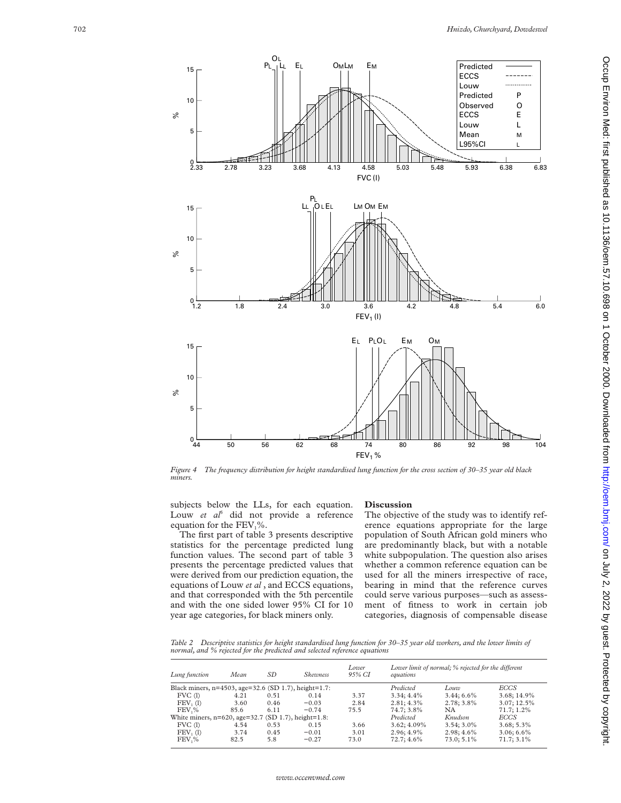

*Figure 4 The frequency distribution for height standardised lung function for the cross section of 30–35 year old black miners.*

subjects below the LLs, for each equation. Louw *et al<sup>5</sup>* did not provide a reference equation for the  $\text{FEV}_1\%$ .

The first part of table 3 presents descriptive statistics for the percentage predicted lung function values. The second part of table 3 presents the percentage predicted values that were derived from our prediction equation, the equations of Louw *et al* , and ECCS equations, and that corresponded with the 5th percentile and with the one sided lower 95% CI for 10 year age categories, for black miners only.

## **Discussion**

The objective of the study was to identify reference equations appropriate for the large population of South African gold miners who are predominantly black, but with a notable white subpopulation. The question also arises whether a common reference equation can be used for all the miners irrespective of race, bearing in mind that the reference curves could serve various purposes—such as assessment of fitness to work in certain job categories, diagnosis of compensable disease

*Table 2 Descriptive statistics for height standardised lung function for 30–35 year old workers, and the lower limits of normal, and % rejected for the predicted and selected reference equations*

| Lung function                                          | Mean | SD   | <b>Skewness</b> | Lower<br>95% CI | Lower limit of normal; % rejected for the different<br>equations |               |              |
|--------------------------------------------------------|------|------|-----------------|-----------------|------------------------------------------------------------------|---------------|--------------|
| Black miners, n=4503, age=32.6 (SD 1.7), height=1.7:   |      |      |                 |                 | Predicted                                                        | Louw          | <i>ECCS</i>  |
| FVC(1)                                                 | 4.21 | 0.51 | 0.14            | 3.37            | $3.34:4.4\%$                                                     | $3.44:6.6\%$  | 3.68; 14.9%  |
| FEV, (1)                                               | 3.60 | 0.46 | $-0.03$         | 2.84            | $2.81; 4.3\%$                                                    | 2.78: 3.8%    | 3.07; 12.5%  |
| FEV,%                                                  | 85.6 | 6.11 | $-0.74$         | 75.5            | 74.7; 3.8%                                                       | NA            | 71.7; 1.2%   |
| White miners, $n=620$ , age=32.7 (SD 1.7), height=1.8: |      |      |                 |                 | Predicted                                                        | Knudson       | <i>ECCS</i>  |
| $FVC$ (1)                                              | 4.54 | 0.53 | 0.15            | 3.66            | $3.62:4.09\%$                                                    | $3.54:3.0\%$  | $3.68:5.3\%$ |
| FEV, (1)                                               | 3.74 | 0.45 | $-0.01$         | 3.01            | $2.96:4.9\%$                                                     | $2.98:4.6\%$  | $3.06:6.6\%$ |
| FEV,%                                                  | 82.5 | 5.8  | $-0.27$         | 73.0            | 72.7; 4.6%                                                       | $73.0; 5.1\%$ | 71.7; 3.1%   |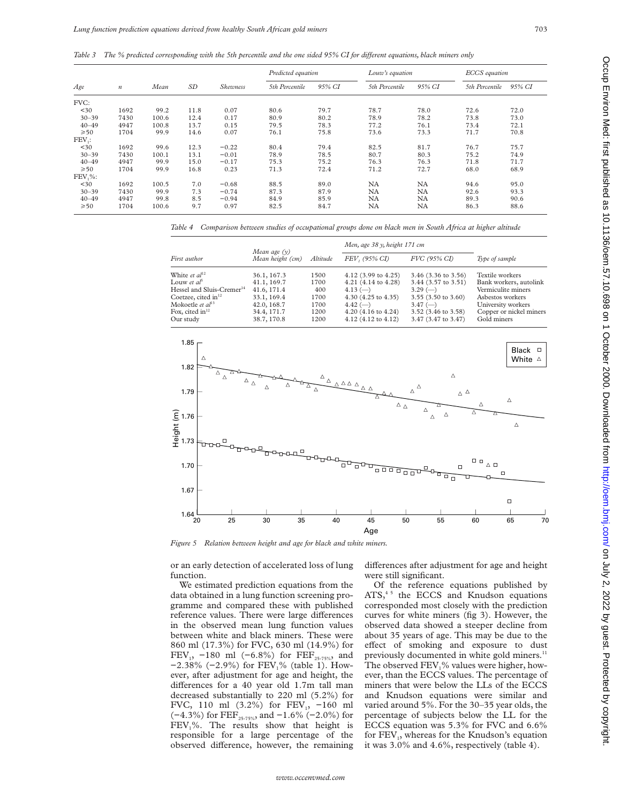Table 3 The % predicted corresponding with the 5th percentile and the one sided 95% CI for different equations, black miners only

| Age            | $\boldsymbol{n}$ | Mean  | SD   | <b>Skewness</b> | Predicted equation |        | Louw's equation |           | ECCS equation  |        |
|----------------|------------------|-------|------|-----------------|--------------------|--------|-----------------|-----------|----------------|--------|
|                |                  |       |      |                 | 5th Percentile     | 95% CI | 5th Percentile  | 95% CI    | 5th Percentile | 95% CI |
| FVC:           |                  |       |      |                 |                    |        |                 |           |                |        |
| $30$           | 1692             | 99.2  | 11.8 | 0.07            | 80.6               | 79.7   | 78.7            | 78.0      | 72.6           | 72.0   |
| $30 - 39$      | 7430             | 100.6 | 12.4 | 0.17            | 80.9               | 80.2   | 78.9            | 78.2      | 73.8           | 73.0   |
| $40 - 49$      | 4947             | 100.8 | 13.7 | 0.15            | 79.5               | 78.3   | 77.2            | 76.1      | 73.4           | 72.1   |
| $\geqslant 50$ | 1704             | 99.9  | 14.6 | 0.07            | 76.1               | 75.8   | 73.6            | 73.3      | 71.7           | 70.8   |
| $FEV_i$ :      |                  |       |      |                 |                    |        |                 |           |                |        |
| $30$           | 1692             | 99.6  | 12.3 | $-0.22$         | 80.4               | 79.4   | 82.5            | 81.7      | 76.7           | 75.7   |
| $30 - 39$      | 7430             | 100.1 | 13.1 | $-0.01$         | 78.9               | 78.5   | 80.7            | 80.3      | 75.2           | 74.9   |
| $40 - 49$      | 4947             | 99.9  | 15.0 | $-0.17$         | 75.3               | 75.2   | 76.3            | 76.3      | 71.8           | 71.7   |
| $\geqslant 50$ | 1704             | 99.9  | 16.8 | 0.23            | 71.3               | 72.4   | 71.2            | 72.7      | 68.0           | 68.9   |
| $FEV, \%:$     |                  |       |      |                 |                    |        |                 |           |                |        |
| $30$           | 1692             | 100.5 | 7.0  | $-0.68$         | 88.5               | 89.0   | <b>NA</b>       | <b>NA</b> | 94.6           | 95.0   |
| $30 - 39$      | 7430             | 99.9  | 7.3  | $-0.74$         | 87.3               | 87.9   | <b>NA</b>       | <b>NA</b> | 92.6           | 93.3   |
| $40 - 49$      | 4947             | 99.8  | 8.5  | $-0.94$         | 84.9               | 85.9   | <b>NA</b>       | <b>NA</b> | 89.3           | 90.6   |
| $\geqslant 50$ | 1704             | 100.6 | 9.7  | 0.97            | 82.5               | 84.7   | NA              | NA        | 86.3           | 88.6   |

*Table 4 Comparison between studies of occupational groups done on black men in South Africa at higher altitude*

|                                       |                                    | Altitude | Men, age $38$ y, height $171$ cm |                       |                         |
|---------------------------------------|------------------------------------|----------|----------------------------------|-----------------------|-------------------------|
| First author                          | Mean age $(y)$<br>Mean height (cm) |          | FEV, (95% CI)                    | <i>FVC</i> (95% CI)   | Type of sample          |
| White <i>et al</i> <sup>12</sup>      | 36.1, 167.3                        | 1500     | $4.12$ (3.99 to $4.25$ )         | 3.46 (3.36 to 3.56)   | Textile workers         |
| Louw et $a\tilde{P}$                  | 41.1, 169.7                        | 1700     | $4.21$ (4.14 to 4.28)            | 3.44 (3.57 to 3.51)   | Bank workers, autolink  |
| Hessel and Sluis-Cremer <sup>14</sup> | 41.6, 171.4                        | 400      | $4.13 \; (-)$                    | $3.29$ (-)            | Vermiculite miners      |
| Coetzee, cited in $12$                | 33.1, 169.4                        | 1700     | $4.30(4.25 \text{ to } 4.35)$    | $3.55$ (3.50 to 3.60) | Asbestos workers        |
| Mokoetle et $al^{13}$                 | 42.0, 168.7                        | 1700     | $4.42 \; (-)$                    | $3.47 \; (-)$         | University workers      |
| Fox, cited in $12$                    | 34.4, 171.7                        | 1200     | $4.20(4.16 \text{ to } 4.24)$    | 3.52 (3.46 to 3.58)   | Copper or nickel miners |
| Our study                             | 38.7, 170.8                        | 1200     | $4.12(4.12 \text{ to } 4.12)$    | 3.47 (3.47 to 3.47)   | Gold miners             |



*Figure 5 Relation between height and age for black and white miners.*

or an early detection of accelerated loss of lung function.

We estimated prediction equations from the data obtained in a lung function screening programme and compared these with published reference values. There were large differences in the observed mean lung function values between white and black miners. These were 860 ml (17.3%) for FVC, 630 ml (14.9%) for FEV<sub>1</sub>, -180 ml (-6.8%) for FEF<sub>25-75%</sub>, and −2.38% (−2.9%) for FEV<sub>1</sub>% (table 1). However, after adjustment for age and height, the differences for a 40 year old 1.7m tall man decreased substantially to 220 ml (5.2%) for FVC, 110 ml  $(3.2\%)$  for FEV<sub>1</sub>, -160 ml (−4.3%) for FEF<sub>25-75%</sub>, and −1.6% (−2.0%) for  $FEV<sub>1</sub>$ %. The results show that height is responsible for a large percentage of the observed difference, however, the remaining differences after adjustment for age and height were still significant.

Of the reference equations published by ATS,<sup>45</sup> the ECCS and Knudson equations corresponded most closely with the prediction curves for white miners (fig 3). However, the observed data showed a steeper decline from about 35 years of age. This may be due to the effect of smoking and exposure to dust previously documented in white gold miners.<sup>11</sup> The observed FEV<sub>1</sub>% values were higher, however, than the ECCS values. The percentage of miners that were below the LLs of the ECCS and Knudson equations were similar and varied around 5%. For the 30–35 year olds, the percentage of subjects below the LL for the ECCS equation was 5.3% for FVC and 6.6% for  $FEV<sub>1</sub>$ , whereas for the Knudson's equation it was 3.0% and 4.6%, respectively (table 4).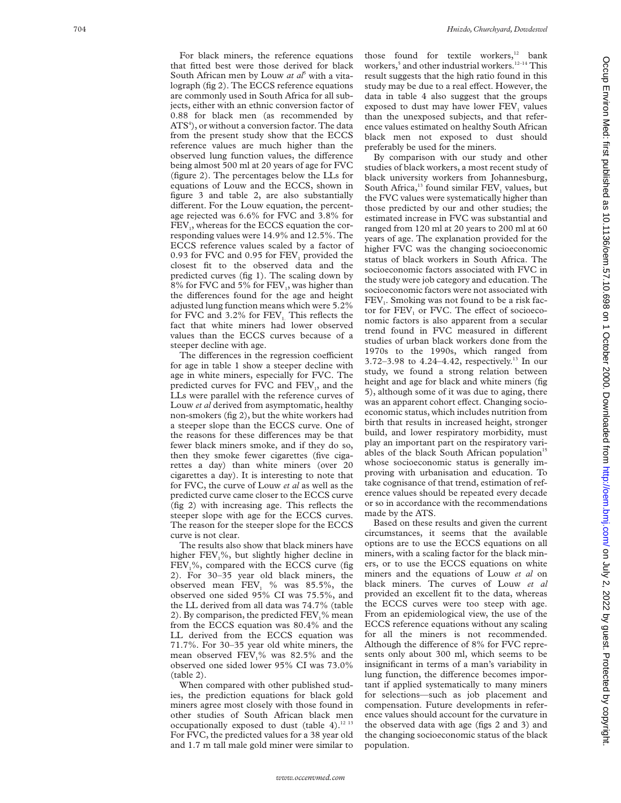For black miners, the reference equations that fitted best were those derived for black South African men by Louw *at al*<sup>5</sup> with a vitalograph (fig 2). The ECCS reference equations are commonly used in South Africa for all subjects, either with an ethnic conversion factor of 0.88 for black men (as recommended by ATS 4 ), or without a conversion factor. The data from the present study show that the ECCS reference values are much higher than the observed lung function values, the difference being almost 500 ml at 20 years of age for FVC (figure 2). The percentages below the LLs for equations of Louw and the ECCS, shown in figure 3 and table 2, are also substantially different. For the Louw equation, the percentage rejected was 6.6% for FVC and 3.8% for FEV 1, whereas for the ECCS equation the corresponding values were 14.9% and 12.5%. The ECCS reference values scaled by a factor of 0.93 for FVC and 0.95 for FEV <sup>1</sup> provided the closest fit to the observed data and the predicted curves (fig 1). The scaling down by 8% for FVC and 5% for FEV 1, was higher than the differences found for the age and height adjusted lung function means which were 5.2% for FVC and  $3.2\%$  for FEV<sub>1</sub>. This reflects the fact that white miners had lower observed values than the ECCS curves because of a steeper decline with age.

The differences in the regression coefficient for age in table 1 show a steeper decline with age in white miners, especially for FVC. The predicted curves for FVC and FEV 1, and the LLs were parallel with the reference curves of Louw *et al* derived from asymptomatic, healthy non-smokers (fig 2), but the white workers had a steeper slope than the ECCS curve. One of the reasons for these differences may be that fewer black miners smoke, and if they do so, then they smoke fewer cigarettes (five cigarettes a day) than white miners (over 20 cigarettes a day). It is interesting to note that for FVC, the curve of Louw *et al* as well as the predicted curve came closer to the ECCS curve (fig 2) with increasing age. This reflects the steeper slope with age for the ECCS curves. The reason for the steeper slope for the ECCS curve is not clear.

The results also show that black miners have higher FEV 1%, but slightly higher decline in FEV 1%, compared with the ECCS curve (fig 2). For 30–35 year old black miners, the observed mean  $\text{FEV}_1$  % was 85.5%, the observed one sided 95% CI was 75.5%, and the LL derived from all data was 74.7% (table 2). By comparison, the predicted  $FEV<sub>1</sub>$ % mean from the ECCS equation was 80.4% and the LL derived from the ECCS equation was 71.7%. For 30–35 year old white miners, the mean observed FEV 1% was 82.5% and the observed one sided lower 95% CI was 73.0% (table 2).

When compared with other published studies, the prediction equations for black gold miners agree most closely with those found in other studies of South African black men occupationally exposed to dust (table 4).<sup>12 13</sup> For FVC, the predicted values for a 38 year old and 1.7 m tall male gold miner were similar to

those found for textile workers,<sup>12</sup> bank workers,<sup>5</sup> and other industrial workers.<sup>12-14</sup> This result suggests that the high ratio found in this study may be due to a real effect. However, the data in table 4 also suggest that the groups exposed to dust may have lower FEV<sub>1</sub> values than the unexposed subjects, and that reference values estimated on healthy South African black men not exposed to dust should preferably be used for the miners.

By comparison with our study and other studies of black workers, a most recent study of black university workers from Johannesburg, South Africa,<sup>13</sup> found similar  $FEV<sub>1</sub>$  values, but the FVC values were systematically higher than those predicted by our and other studies; the estimated increase in FVC was substantial and ranged from 120 ml at 20 years to 200 ml at 60 years of age. The explanation provided for the higher FVC was the changing socioeconomic status of black workers in South Africa. The socioeconomic factors associated with FVC in the study were job category and education. The socioeconomic factors were not associated with FEV 1. Smoking was not found to be a risk factor for FEV<sub>1</sub> or FVC. The effect of socioeconomic factors is also apparent from a secular trend found in FVC measured in different studies of urban black workers done from the 1970s to the 1990s, which ranged from 3.72–3.98 to 4.24–4.42, respectively.<sup>13</sup> In our study, we found a strong relation between height and age for black and white miners (fig 5), although some of it was due to aging, there was an apparent cohort effect. Changing socioeconomic status, which includes nutrition from birth that results in increased height, stronger build, and lower respiratory morbidity, must play an important part on the respiratory variables of the black South African population<sup>15</sup> whose socioeconomic status is generally improving with urbanisation and education. To take cognisance of that trend, estimation of reference values should be repeated every decade or so in accordance with the recommendations made by the ATS.

Based on these results and given the current circumstances, it seems that the available options are to use the ECCS equations on all miners, with a scaling factor for the black miners, or to use the ECCS equations on white miners and the equations of Louw *et al* on black miners. The curves of Louw *et al* provided an excellent fit to the data, whereas the ECCS curves were too steep with age. From an epidemiological view, the use of the ECCS reference equations without any scaling for all the miners is not recommended. Although the difference of 8% for FVC represents only about 300 ml, which seems to be insignificant in terms of a man's variability in lung function, the difference becomes important if applied systematically to many miners for selections—such as job placement and compensation. Future developments in reference values should account for the curvature in the observed data with age (figs 2 and 3) and the changing socioeconomic status of the black population.